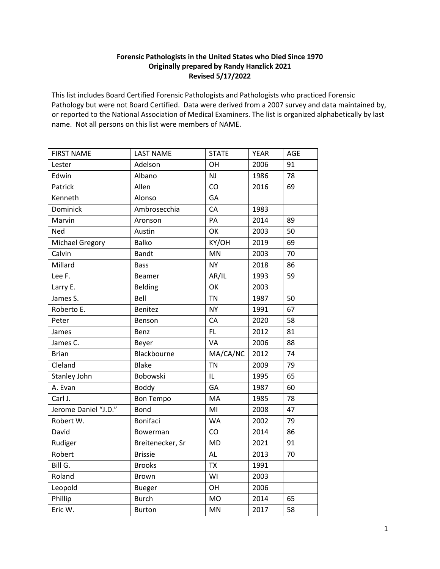## **Forensic Pathologists in the United States who Died Since 1970 Originally prepared by Randy Hanzlick 2021 Revised 5/17/2022**

This list includes Board Certified Forensic Pathologists and Pathologists who practiced Forensic Pathology but were not Board Certified. Data were derived from a 2007 survey and data maintained by, or reported to the National Association of Medical Examiners. The list is organized alphabetically by last name. Not all persons on this list were members of NAME.

| <b>FIRST NAME</b>      | <b>LAST NAME</b> | <b>STATE</b> | <b>YEAR</b> | AGE |
|------------------------|------------------|--------------|-------------|-----|
| Lester                 | Adelson          | OH           | 2006        | 91  |
| Edwin                  | Albano           | <b>NJ</b>    | 1986        | 78  |
| Patrick                | Allen            | CO           | 2016        | 69  |
| Kenneth                | Alonso           | GA           |             |     |
| Dominick               | Ambrosecchia     | CA           | 1983        |     |
| Marvin                 | Aronson          | PA           | 2014        | 89  |
| Ned                    | Austin           | OK           | 2003        | 50  |
| <b>Michael Gregory</b> | <b>Balko</b>     | KY/OH        | 2019        | 69  |
| Calvin                 | <b>Bandt</b>     | MN           | 2003        | 70  |
| Millard                | <b>Bass</b>      | <b>NY</b>    | 2018        | 86  |
| Lee F.                 | <b>Beamer</b>    | AR/IL        | 1993        | 59  |
| Larry E.               | Belding          | OK           | 2003        |     |
| James S.               | Bell             | <b>TN</b>    | 1987        | 50  |
| Roberto E.             | <b>Benitez</b>   | <b>NY</b>    | 1991        | 67  |
| Peter                  | Benson           | CA           | 2020        | 58  |
| James                  | Benz             | FL.          | 2012        | 81  |
| James C.               | Beyer            | <b>VA</b>    | 2006        | 88  |
| <b>Brian</b>           | Blackbourne      | MA/CA/NC     | 2012        | 74  |
| Cleland                | <b>Blake</b>     | <b>TN</b>    | 2009        | 79  |
| Stanley John           | Bobowski         | IL           | 1995        | 65  |
| A. Evan                | Boddy            | GA           | 1987        | 60  |
| Carl J.                | <b>Bon Tempo</b> | MA           | 1985        | 78  |
| Jerome Daniel "J.D."   | <b>Bond</b>      | MI           | 2008        | 47  |
| Robert W.              | <b>Bonifaci</b>  | <b>WA</b>    | 2002        | 79  |
| David                  | <b>Bowerman</b>  | CO           | 2014        | 86  |
| Rudiger                | Breitenecker, Sr | <b>MD</b>    | 2021        | 91  |
| Robert                 | <b>Brissie</b>   | AL           | 2013        | 70  |
| Bill G.                | <b>Brooks</b>    | <b>TX</b>    | 1991        |     |
| Roland                 | <b>Brown</b>     | WI           | 2003        |     |
| Leopold                | <b>Bueger</b>    | OH           | 2006        |     |
| Phillip                | <b>Burch</b>     | <b>MO</b>    | 2014        | 65  |
| Eric W.                | <b>Burton</b>    | MN           | 2017        | 58  |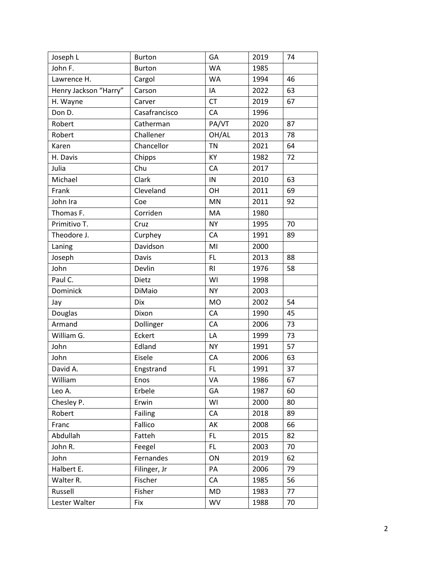| Joseph L              | <b>Burton</b> | GA        | 2019 | 74 |
|-----------------------|---------------|-----------|------|----|
| John F.               | <b>Burton</b> | <b>WA</b> | 1985 |    |
| Lawrence H.           | Cargol        | <b>WA</b> | 1994 | 46 |
| Henry Jackson "Harry" | Carson        | IA        | 2022 | 63 |
| H. Wayne              | Carver        | <b>CT</b> | 2019 | 67 |
| Don D.                | Casafrancisco | CA        | 1996 |    |
| Robert                | Catherman     | PA/VT     | 2020 | 87 |
| Robert                | Challener     | OH/AL     | 2013 | 78 |
| Karen                 | Chancellor    | <b>TN</b> | 2021 | 64 |
| H. Davis              | Chipps        | KY        | 1982 | 72 |
| Julia                 | Chu           | CA        | 2017 |    |
| Michael               | Clark         | IN        | 2010 | 63 |
| Frank                 | Cleveland     | OH        | 2011 | 69 |
| John Ira              | Coe           | MN        | 2011 | 92 |
| Thomas F.             | Corriden      | MA        | 1980 |    |
| Primitivo T.          | Cruz          | <b>NY</b> | 1995 | 70 |
| Theodore J.           | Curphey       | CA        | 1991 | 89 |
| Laning                | Davidson      | MI        | 2000 |    |
| Joseph                | Davis         | FL        | 2013 | 88 |
| John                  | Devlin        | <b>RI</b> | 1976 | 58 |
| Paul C.               | Dietz         | WI        | 1998 |    |
| Dominick              | <b>DiMaio</b> | <b>NY</b> | 2003 |    |
| Jay                   | Dix           | <b>MO</b> | 2002 | 54 |
| Douglas               | Dixon         | CA        | 1990 | 45 |
| Armand                | Dollinger     | CA        | 2006 | 73 |
| William G.            | Eckert        | LA        | 1999 | 73 |
| John                  | Edland        | <b>NY</b> | 1991 | 57 |
| John                  | Eisele        | CA        | 2006 | 63 |
| David A.              | Engstrand     | FL.       | 1991 | 37 |
| William               | Enos          | VA        | 1986 | 67 |
| Leo A.                | Erbele        | GA        | 1987 | 60 |
| Chesley P.            | Erwin         | WI        | 2000 | 80 |
| Robert                | Failing       | CA        | 2018 | 89 |
| Franc                 | Fallico       | AK        | 2008 | 66 |
| Abdullah              | Fatteh        | FL        | 2015 | 82 |
| John R.               | Feegel        | FL.       | 2003 | 70 |
| John                  | Fernandes     | ON        | 2019 | 62 |
| Halbert E.            | Filinger, Jr  | PA        | 2006 | 79 |
| Walter R.             | Fischer       | CA        | 1985 | 56 |
| Russell               | Fisher        | MD        | 1983 | 77 |
| Lester Walter         | Fix           | WV        | 1988 | 70 |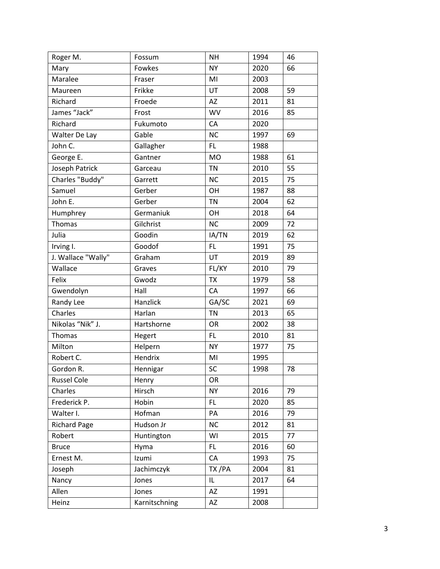| Roger M.            | Fossum        | <b>NH</b> | 1994 | 46 |
|---------------------|---------------|-----------|------|----|
| Mary                | Fowkes        | <b>NY</b> | 2020 | 66 |
| Maralee             | Fraser        | MI        | 2003 |    |
| Maureen             | Frikke        | UT        | 2008 | 59 |
| Richard             | Froede        | <b>AZ</b> | 2011 | 81 |
| James "Jack"        | Frost         | WV        | 2016 | 85 |
| Richard             | Fukumoto      | CA        | 2020 |    |
| Walter De Lay       | Gable         | <b>NC</b> | 1997 | 69 |
| John C.             | Gallagher     | FL.       | 1988 |    |
| George E.           | Gantner       | <b>MO</b> | 1988 | 61 |
| Joseph Patrick      | Garceau       | <b>TN</b> | 2010 | 55 |
| Charles "Buddy"     | Garrett       | <b>NC</b> | 2015 | 75 |
| Samuel              | Gerber        | OH        | 1987 | 88 |
| John E.             | Gerber        | <b>TN</b> | 2004 | 62 |
| Humphrey            | Germaniuk     | OH        | 2018 | 64 |
| <b>Thomas</b>       | Gilchrist     | <b>NC</b> | 2009 | 72 |
| Julia               | Goodin        | IA/TN     | 2019 | 62 |
| Irving I.           | Goodof        | FL.       | 1991 | 75 |
| J. Wallace "Wally"  | Graham        | UT        | 2019 | 89 |
| Wallace             | Graves        | FL/KY     | 2010 | 79 |
| Felix               | Gwodz         | <b>TX</b> | 1979 | 58 |
| Gwendolyn           | Hall          | CA        | 1997 | 66 |
| Randy Lee           | Hanzlick      | GA/SC     | 2021 | 69 |
| Charles             | Harlan        | <b>TN</b> | 2013 | 65 |
| Nikolas "Nik" J.    | Hartshorne    | <b>OR</b> | 2002 | 38 |
| Thomas              | Hegert        | FL        | 2010 | 81 |
| Milton              | Helpern       | <b>NY</b> | 1977 | 75 |
| Robert C.           | Hendrix       | MI        | 1995 |    |
| Gordon R.           | Hennigar      | SC        | 1998 | 78 |
| <b>Russel Cole</b>  | Henry         | OR        |      |    |
| Charles             | Hirsch        | <b>NY</b> | 2016 | 79 |
| Frederick P.        | Hobin         | FL.       | 2020 | 85 |
| Walter I.           | Hofman        | PA        | 2016 | 79 |
| <b>Richard Page</b> | Hudson Jr     | <b>NC</b> | 2012 | 81 |
| Robert              | Huntington    | WI        | 2015 | 77 |
| <b>Bruce</b>        | Hyma          | FL.       | 2016 | 60 |
| Ernest M.           | Izumi         | CA        | 1993 | 75 |
| Joseph              | Jachimczyk    | TX/PA     | 2004 | 81 |
| Nancy               | Jones         | IL        | 2017 | 64 |
| Allen               | Jones         | AZ        | 1991 |    |
| Heinz               | Karnitschning | AZ        | 2008 |    |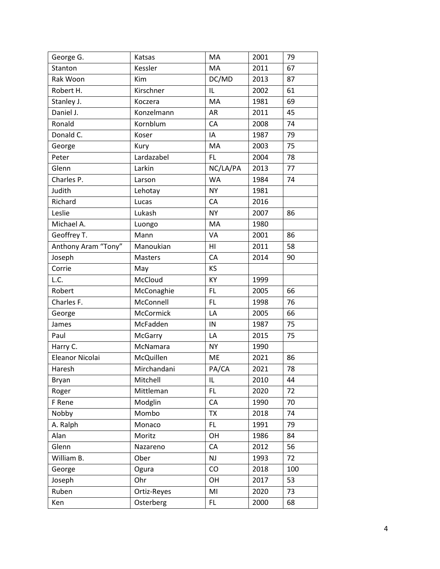| George G.           | Katsas      | MA        | 2001 | 79  |
|---------------------|-------------|-----------|------|-----|
| Stanton             | Kessler     | MA        | 2011 | 67  |
| Rak Woon            | Kim         | DC/MD     | 2013 | 87  |
| Robert H.           | Kirschner   | IL        | 2002 | 61  |
| Stanley J.          | Koczera     | MA        | 1981 | 69  |
| Daniel J.           | Konzelmann  | <b>AR</b> | 2011 | 45  |
| Ronald              | Kornblum    | CA        | 2008 | 74  |
| Donald C.           | Koser       | IA        | 1987 | 79  |
| George              | Kury        | MA        | 2003 | 75  |
| Peter               | Lardazabel  | <b>FL</b> | 2004 | 78  |
| Glenn               | Larkin      | NC/LA/PA  | 2013 | 77  |
| Charles P.          | Larson      | <b>WA</b> | 1984 | 74  |
| Judith              | Lehotay     | <b>NY</b> | 1981 |     |
| Richard             | Lucas       | CA        | 2016 |     |
| Leslie              | Lukash      | <b>NY</b> | 2007 | 86  |
| Michael A.          | Luongo      | MA        | 1980 |     |
| Geoffrey T.         | Mann        | VA        | 2001 | 86  |
| Anthony Aram "Tony" | Manoukian   | HI        | 2011 | 58  |
| Joseph              | Masters     | CA        | 2014 | 90  |
| Corrie              | May         | KS        |      |     |
| L.C.                | McCloud     | KY        | 1999 |     |
| Robert              | McConaghie  | FL.       | 2005 | 66  |
| Charles F.          | McConnell   | FL        | 1998 | 76  |
| George              | McCormick   | LA        | 2005 | 66  |
| James               | McFadden    | IN        | 1987 | 75  |
| Paul                | McGarry     | LA        | 2015 | 75  |
| Harry C.            | McNamara    | <b>NY</b> | 1990 |     |
| Eleanor Nicolai     | McQuillen   | ME        | 2021 | 86  |
| Haresh              | Mirchandani | PA/CA     | 2021 | 78  |
| Bryan               | Mitchell    | IL.       | 2010 | 44  |
| Roger               | Mittleman   | FL        | 2020 | 72  |
| F Rene              | Modglin     | CA        | 1990 | 70  |
| Nobby               | Mombo       | <b>TX</b> | 2018 | 74  |
| A. Ralph            | Monaco      | FL.       | 1991 | 79  |
| Alan                | Moritz      | OH        | 1986 | 84  |
| Glenn               | Nazareno    | CA        | 2012 | 56  |
| William B.          | Ober        | NJ        | 1993 | 72  |
| George              | Ogura       | CO        | 2018 | 100 |
| Joseph              | Ohr         | OH        | 2017 | 53  |
| Ruben               | Ortiz-Reyes | MI        | 2020 | 73  |
| Ken                 | Osterberg   | FL.       | 2000 | 68  |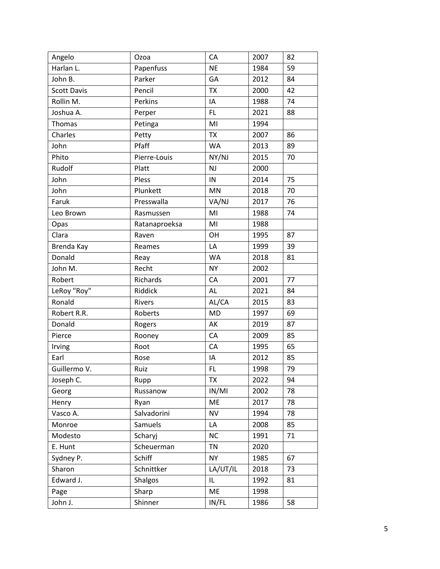| Angelo             | Ozoa          | CA        | 2007 | 82 |
|--------------------|---------------|-----------|------|----|
| Harlan L.          | Papenfuss     | <b>NE</b> | 1984 | 59 |
| John B.            | Parker        | GA        | 2012 | 84 |
| <b>Scott Davis</b> | Pencil        | <b>TX</b> | 2000 | 42 |
| Rollin M.          | Perkins       | IA        | 1988 | 74 |
| Joshua A.          | Perper        | FL.       | 2021 | 88 |
| Thomas             | Petinga       | MI        | 1994 |    |
| Charles            | Petty         | <b>TX</b> | 2007 | 86 |
| John               | Pfaff         | <b>WA</b> | 2013 | 89 |
| Phito              | Pierre-Louis  | NY/NJ     | 2015 | 70 |
| Rudolf             | Platt         | NJ        | 2000 |    |
| John               | Pless         | IN        | 2014 | 75 |
| John               | Plunkett      | MN        | 2018 | 70 |
| Faruk              | Presswalla    | VA/NJ     | 2017 | 76 |
| Leo Brown          | Rasmussen     | MI        | 1988 | 74 |
| Opas               | Ratanaproeksa | MI        | 1988 |    |
| Clara              | Raven         | OH        | 1995 | 87 |
| Brenda Kay         | Reames        | LA        | 1999 | 39 |
| Donald             | Reay          | <b>WA</b> | 2018 | 81 |
| John M.            | Recht         | <b>NY</b> | 2002 |    |
| Robert             | Richards      | CA        | 2001 | 77 |
| LeRoy "Roy"        | Riddick       | AL        | 2021 | 84 |
| Ronald             | Rivers        | AL/CA     | 2015 | 83 |
| Robert R.R.        | Roberts       | <b>MD</b> | 1997 | 69 |
| Donald             | Rogers        | AK        | 2019 | 87 |
| Pierce             | Rooney        | CA        | 2009 | 85 |
| Irving             | Root          | CA        | 1995 | 65 |
| Earl               | Rose          | IA        | 2012 | 85 |
| Guillermo V.       | Ruiz          | FL.       | 1998 | 79 |
| Joseph C.          | Rupp          | TX        | 2022 | 94 |
| Georg              | Russanow      | IN/MI     | 2002 | 78 |
| Henry              | Ryan          | ME        | 2017 | 78 |
| Vasco A.           | Salvadorini   | <b>NV</b> | 1994 | 78 |
| Monroe             | Samuels       | LA        | 2008 | 85 |
| Modesto            | Scharyj       | <b>NC</b> | 1991 | 71 |
| E. Hunt            | Scheuerman    | <b>TN</b> | 2020 |    |
| Sydney P.          | Schiff        | <b>NY</b> | 1985 | 67 |
| Sharon             | Schnittker    | LA/UT/IL  | 2018 | 73 |
| Edward J.          | Shalgos       | IL        | 1992 | 81 |
| Page               | Sharp         | ME        | 1998 |    |
| John J.            | Shinner       | IN/FL     | 1986 | 58 |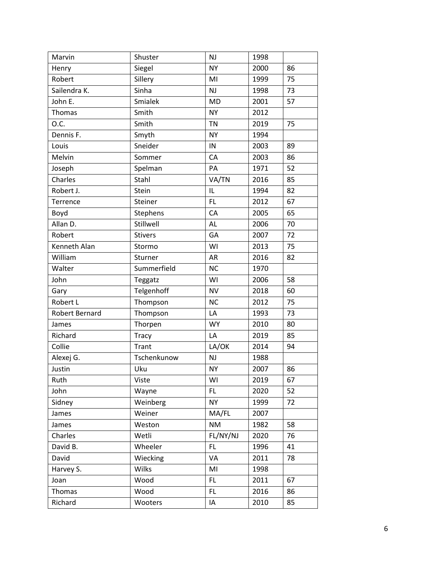| Marvin         | Shuster        | NJ        | 1998 |    |
|----------------|----------------|-----------|------|----|
| Henry          | Siegel         | <b>NY</b> | 2000 | 86 |
| Robert         | Sillery        | MI        | 1999 | 75 |
| Sailendra K.   | Sinha          | NJ        | 1998 | 73 |
| John E.        | Smialek        | <b>MD</b> | 2001 | 57 |
| Thomas         | Smith          | <b>NY</b> | 2012 |    |
| O.C.           | Smith          | <b>TN</b> | 2019 | 75 |
| Dennis F.      | Smyth          | <b>NY</b> | 1994 |    |
| Louis          | Sneider        | IN        | 2003 | 89 |
| Melvin         | Sommer         | CA        | 2003 | 86 |
| Joseph         | Spelman        | PA        | 1971 | 52 |
| Charles        | Stahl          | VA/TN     | 2016 | 85 |
| Robert J.      | Stein          | IL        | 1994 | 82 |
| Terrence       | Steiner        | FL        | 2012 | 67 |
| Boyd           | Stephens       | CA        | 2005 | 65 |
| Allan D.       | Stillwell      | AL        | 2006 | 70 |
| Robert         | <b>Stivers</b> | GA        | 2007 | 72 |
| Kenneth Alan   | Stormo         | WI        | 2013 | 75 |
| William        | Sturner        | <b>AR</b> | 2016 | 82 |
| Walter         | Summerfield    | <b>NC</b> | 1970 |    |
| John           | Teggatz        | WI        | 2006 | 58 |
| Gary           | Telgenhoff     | <b>NV</b> | 2018 | 60 |
| Robert L       | Thompson       | <b>NC</b> | 2012 | 75 |
| Robert Bernard | Thompson       | LA        | 1993 | 73 |
| James          | Thorpen        | <b>WY</b> | 2010 | 80 |
| Richard        | <b>Tracy</b>   | LA        | 2019 | 85 |
| Collie         | Trant          | LA/OK     | 2014 | 94 |
| Alexej G.      | Tschenkunow    | NJ        | 1988 |    |
| Justin         | Uku            | <b>NY</b> | 2007 | 86 |
| Ruth           | Viste          | WI        | 2019 | 67 |
| John           | Wayne          | FL        | 2020 | 52 |
| Sidney         | Weinberg       | <b>NY</b> | 1999 | 72 |
| James          | Weiner         | MA/FL     | 2007 |    |
| James          | Weston         | <b>NM</b> | 1982 | 58 |
| Charles        | Wetli          | FL/NY/NJ  | 2020 | 76 |
| David B.       | Wheeler        | FL.       | 1996 | 41 |
| David          | Wiecking       | VA        | 2011 | 78 |
| Harvey S.      | Wilks          | MI        | 1998 |    |
| Joan           | Wood           | FL        | 2011 | 67 |
| Thomas         | Wood           | FL        | 2016 | 86 |
| Richard        | Wooters        | IA        | 2010 | 85 |